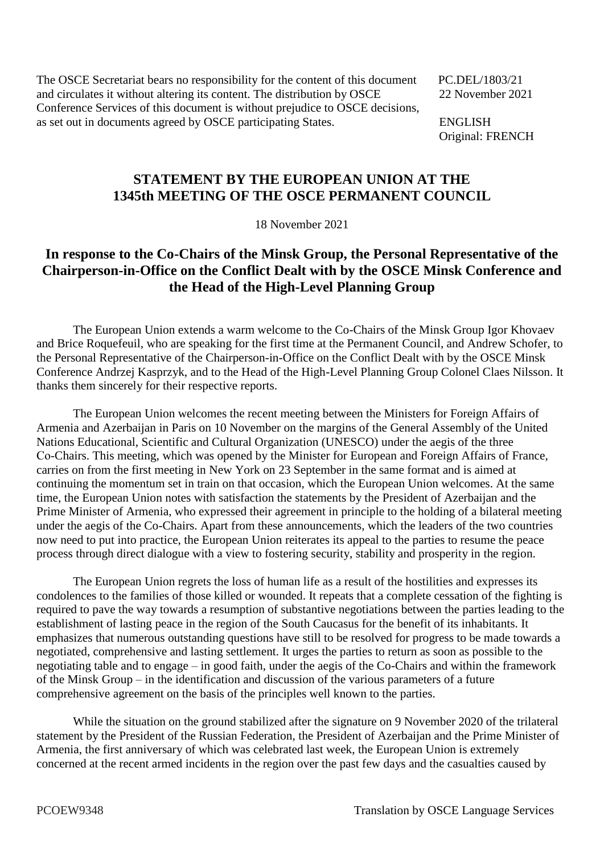The OSCE Secretariat bears no responsibility for the content of this document PC.DEL/1803/21 and circulates it without altering its content. The distribution by OSCE 22 November 2021 Conference Services of this document is without prejudice to OSCE decisions, as set out in documents agreed by OSCE participating States. ENGLISH

Original: FRENCH

## **STATEMENT BY THE EUROPEAN UNION AT THE 1345th MEETING OF THE OSCE PERMANENT COUNCIL**

18 November 2021

## **In response to the Co-Chairs of the Minsk Group, the Personal Representative of the Chairperson-in-Office on the Conflict Dealt with by the OSCE Minsk Conference and the Head of the High-Level Planning Group**

The European Union extends a warm welcome to the Co-Chairs of the Minsk Group Igor Khovaev and Brice Roquefeuil, who are speaking for the first time at the Permanent Council, and Andrew Schofer, to the Personal Representative of the Chairperson-in-Office on the Conflict Dealt with by the OSCE Minsk Conference Andrzej Kasprzyk, and to the Head of the High-Level Planning Group Colonel Claes Nilsson. It thanks them sincerely for their respective reports.

The European Union welcomes the recent meeting between the Ministers for Foreign Affairs of Armenia and Azerbaijan in Paris on 10 November on the margins of the General Assembly of the United Nations Educational, Scientific and Cultural Organization (UNESCO) under the aegis of the three Co‑Chairs. This meeting, which was opened by the Minister for European and Foreign Affairs of France, carries on from the first meeting in New York on 23 September in the same format and is aimed at continuing the momentum set in train on that occasion, which the European Union welcomes. At the same time, the European Union notes with satisfaction the statements by the President of Azerbaijan and the Prime Minister of Armenia, who expressed their agreement in principle to the holding of a bilateral meeting under the aegis of the Co-Chairs. Apart from these announcements, which the leaders of the two countries now need to put into practice, the European Union reiterates its appeal to the parties to resume the peace process through direct dialogue with a view to fostering security, stability and prosperity in the region.

The European Union regrets the loss of human life as a result of the hostilities and expresses its condolences to the families of those killed or wounded. It repeats that a complete cessation of the fighting is required to pave the way towards a resumption of substantive negotiations between the parties leading to the establishment of lasting peace in the region of the South Caucasus for the benefit of its inhabitants. It emphasizes that numerous outstanding questions have still to be resolved for progress to be made towards a negotiated, comprehensive and lasting settlement. It urges the parties to return as soon as possible to the negotiating table and to engage – in good faith, under the aegis of the Co-Chairs and within the framework of the Minsk Group – in the identification and discussion of the various parameters of a future comprehensive agreement on the basis of the principles well known to the parties.

While the situation on the ground stabilized after the signature on 9 November 2020 of the trilateral statement by the President of the Russian Federation, the President of Azerbaijan and the Prime Minister of Armenia, the first anniversary of which was celebrated last week, the European Union is extremely concerned at the recent armed incidents in the region over the past few days and the casualties caused by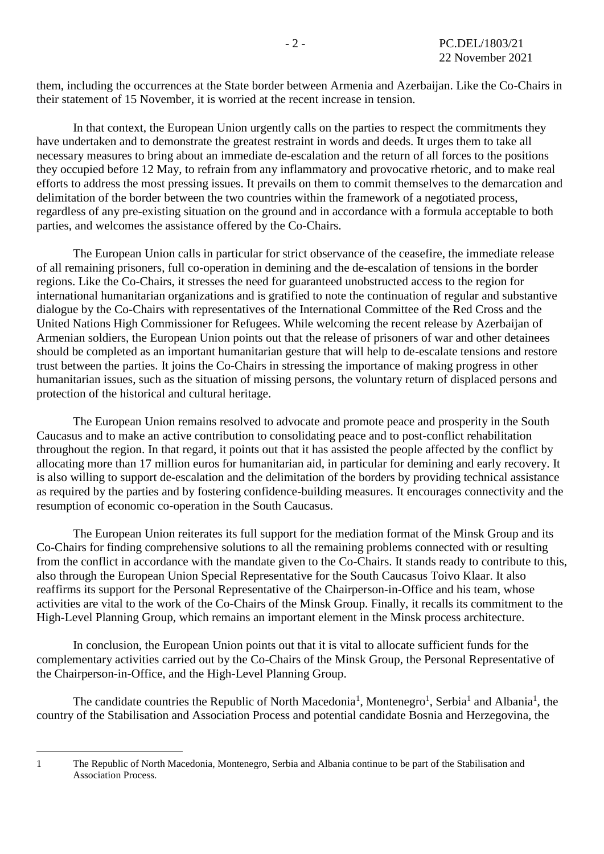them, including the occurrences at the State border between Armenia and Azerbaijan. Like the Co-Chairs in their statement of 15 November, it is worried at the recent increase in tension.

In that context, the European Union urgently calls on the parties to respect the commitments they have undertaken and to demonstrate the greatest restraint in words and deeds. It urges them to take all necessary measures to bring about an immediate de-escalation and the return of all forces to the positions they occupied before 12 May, to refrain from any inflammatory and provocative rhetoric, and to make real efforts to address the most pressing issues. It prevails on them to commit themselves to the demarcation and delimitation of the border between the two countries within the framework of a negotiated process, regardless of any pre-existing situation on the ground and in accordance with a formula acceptable to both parties, and welcomes the assistance offered by the Co-Chairs.

The European Union calls in particular for strict observance of the ceasefire, the immediate release of all remaining prisoners, full co-operation in demining and the de-escalation of tensions in the border regions. Like the Co-Chairs, it stresses the need for guaranteed unobstructed access to the region for international humanitarian organizations and is gratified to note the continuation of regular and substantive dialogue by the Co-Chairs with representatives of the International Committee of the Red Cross and the United Nations High Commissioner for Refugees. While welcoming the recent release by Azerbaijan of Armenian soldiers, the European Union points out that the release of prisoners of war and other detainees should be completed as an important humanitarian gesture that will help to de-escalate tensions and restore trust between the parties. It joins the Co-Chairs in stressing the importance of making progress in other humanitarian issues, such as the situation of missing persons, the voluntary return of displaced persons and protection of the historical and cultural heritage.

The European Union remains resolved to advocate and promote peace and prosperity in the South Caucasus and to make an active contribution to consolidating peace and to post-conflict rehabilitation throughout the region. In that regard, it points out that it has assisted the people affected by the conflict by allocating more than 17 million euros for humanitarian aid, in particular for demining and early recovery. It is also willing to support de-escalation and the delimitation of the borders by providing technical assistance as required by the parties and by fostering confidence-building measures. It encourages connectivity and the resumption of economic co-operation in the South Caucasus.

The European Union reiterates its full support for the mediation format of the Minsk Group and its Co-Chairs for finding comprehensive solutions to all the remaining problems connected with or resulting from the conflict in accordance with the mandate given to the Co-Chairs. It stands ready to contribute to this, also through the European Union Special Representative for the South Caucasus Toivo Klaar. It also reaffirms its support for the Personal Representative of the Chairperson-in-Office and his team, whose activities are vital to the work of the Co-Chairs of the Minsk Group. Finally, it recalls its commitment to the High-Level Planning Group, which remains an important element in the Minsk process architecture.

In conclusion, the European Union points out that it is vital to allocate sufficient funds for the complementary activities carried out by the Co-Chairs of the Minsk Group, the Personal Representative of the Chairperson-in-Office, and the High-Level Planning Group.

<span id="page-1-0"></span>The candidate c[o](#page-1-0)untries the Republic of North Macedonia<sup>[1](#page-1-0)</sup>, Montenegro<sup>1</sup>, Serbi[a](#page-1-0)<sup>1</sup> and Albania<sup>1</sup>, the country of the Stabilisation and Association Process and potential candidate Bosnia and Herzegovina, the

<sup>1</sup> 

<sup>1</sup> The Republic of North Macedonia, Montenegro, Serbia and Albania continue to be part of the Stabilisation and Association Process.